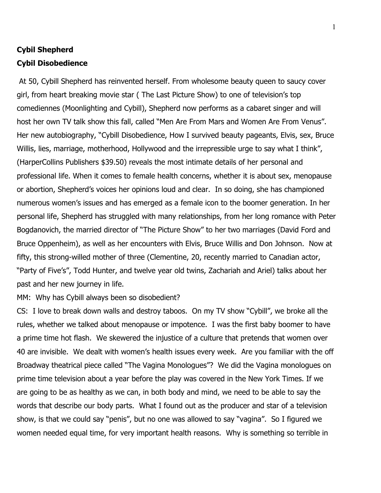## **Cybil Shepherd Cybil Disobedience**

At 50, Cybill Shepherd has reinvented herself. From wholesome beauty queen to saucy cover girl, from heart breaking movie star ( The Last Picture Show) to one of television's top comediennes (Moonlighting and Cybill), Shepherd now performs as a cabaret singer and will host her own TV talk show this fall, called "Men Are From Mars and Women Are From Venus". Her new autobiography, "Cybill Disobedience, How I survived beauty pageants, Elvis, sex, Bruce Willis, lies, marriage, motherhood, Hollywood and the irrepressible urge to say what I think", (HarperCollins Publishers \$39.50) reveals the most intimate details of her personal and professional life. When it comes to female health concerns, whether it is about sex, menopause or abortion, Shepherd's voices her opinions loud and clear. In so doing, she has championed numerous women's issues and has emerged as a female icon to the boomer generation. In her personal life, Shepherd has struggled with many relationships, from her long romance with Peter Bogdanovich, the married director of "The Picture Show" to her two marriages (David Ford and Bruce Oppenheim), as well as her encounters with Elvis, Bruce Willis and Don Johnson. Now at fifty, this strong-willed mother of three (Clementine, 20, recently married to Canadian actor, "Party of Five's", Todd Hunter, and twelve year old twins, Zachariah and Ariel) talks about her past and her new journey in life.

MM: Why has Cybill always been so disobedient?

CS: I love to break down walls and destroy taboos. On my TV show "Cybill", we broke all the rules, whether we talked about menopause or impotence. I was the first baby boomer to have a prime time hot flash. We skewered the injustice of a culture that pretends that women over 40 are invisible. We dealt with women's health issues every week. Are you familiar with the off Broadway theatrical piece called "The Vagina Monologues"? We did the Vagina monologues on prime time television about a year before the play was covered in the New York Times. If we are going to be as healthy as we can, in both body and mind, we need to be able to say the words that describe our body parts. What I found out as the producer and star of a television show, is that we could say "penis", but no one was allowed to say "vagina". So I figured we women needed equal time, for very important health reasons. Why is something so terrible in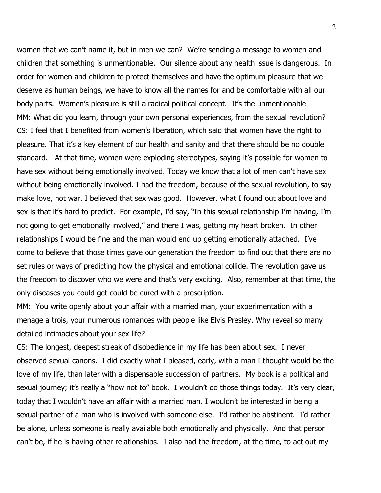women that we can't name it, but in men we can? We're sending a message to women and children that something is unmentionable. Our silence about any health issue is dangerous. In order for women and children to protect themselves and have the optimum pleasure that we deserve as human beings, we have to know all the names for and be comfortable with all our body parts. Women's pleasure is still a radical political concept. It's the unmentionable MM: What did you learn, through your own personal experiences, from the sexual revolution? CS: I feel that I benefited from women's liberation, which said that women have the right to pleasure. That it's a key element of our health and sanity and that there should be no double standard. At that time, women were exploding stereotypes, saying it's possible for women to have sex without being emotionally involved. Today we know that a lot of men can't have sex without being emotionally involved. I had the freedom, because of the sexual revolution, to say make love, not war. I believed that sex was good. However, what I found out about love and sex is that it's hard to predict. For example, I'd say, "In this sexual relationship I'm having, I'm not going to get emotionally involved," and there I was, getting my heart broken. In other relationships I would be fine and the man would end up getting emotionally attached. I've come to believe that those times gave our generation the freedom to find out that there are no set rules or ways of predicting how the physical and emotional collide. The revolution gave us the freedom to discover who we were and that's very exciting. Also, remember at that time, the only diseases you could get could be cured with a prescription.

MM: You write openly about your affair with a married man, your experimentation with a menage a trois, your numerous romances with people like Elvis Presley. Why reveal so many detailed intimacies about your sex life?

CS: The longest, deepest streak of disobedience in my life has been about sex. I never observed sexual canons. I did exactly what I pleased, early, with a man I thought would be the love of my life, than later with a dispensable succession of partners. My book is a political and sexual journey; it's really a "how not to" book. I wouldn't do those things today. It's very clear, today that I wouldn't have an affair with a married man. I wouldn't be interested in being a sexual partner of a man who is involved with someone else. I'd rather be abstinent. I'd rather be alone, unless someone is really available both emotionally and physically. And that person can't be, if he is having other relationships. I also had the freedom, at the time, to act out my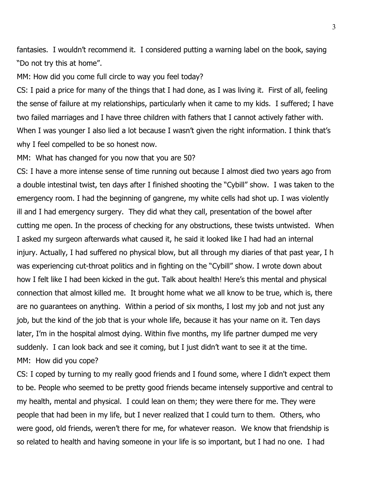fantasies. I wouldn't recommend it. I considered putting a warning label on the book, saying "Do not try this at home".

MM: How did you come full circle to way you feel today?

CS: I paid a price for many of the things that I had done, as I was living it. First of all, feeling the sense of failure at my relationships, particularly when it came to my kids. I suffered; I have two failed marriages and I have three children with fathers that I cannot actively father with. When I was younger I also lied a lot because I wasn't given the right information. I think that's why I feel compelled to be so honest now.

MM: What has changed for you now that you are 50?

CS: I have a more intense sense of time running out because I almost died two years ago from a double intestinal twist, ten days after I finished shooting the "Cybill" show. I was taken to the emergency room. I had the beginning of gangrene, my white cells had shot up. I was violently ill and I had emergency surgery. They did what they call, presentation of the bowel after cutting me open. In the process of checking for any obstructions, these twists untwisted. When I asked my surgeon afterwards what caused it, he said it looked like I had had an internal injury. Actually, I had suffered no physical blow, but all through my diaries of that past year, I h was experiencing cut-throat politics and in fighting on the "Cybill" show. I wrote down about how I felt like I had been kicked in the gut. Talk about health! Here's this mental and physical connection that almost killed me. It brought home what we all know to be true, which is, there are no guarantees on anything. Within a period of six months, I lost my job and not just any job, but the kind of the job that is your whole life, because it has your name on it. Ten days later, I'm in the hospital almost dying. Within five months, my life partner dumped me very suddenly. I can look back and see it coming, but I just didn't want to see it at the time. MM: How did you cope?

CS: I coped by turning to my really good friends and I found some, where I didn't expect them to be. People who seemed to be pretty good friends became intensely supportive and central to my health, mental and physical. I could lean on them; they were there for me. They were people that had been in my life, but I never realized that I could turn to them. Others, who were good, old friends, weren't there for me, for whatever reason. We know that friendship is so related to health and having someone in your life is so important, but I had no one. I had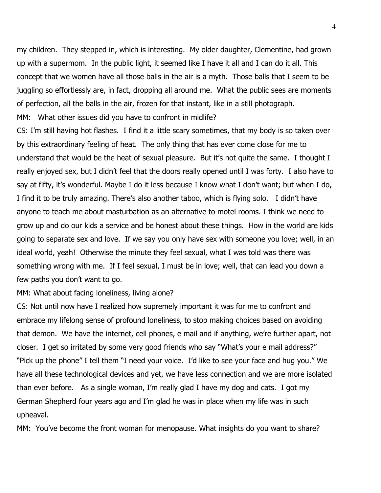my children. They stepped in, which is interesting. My older daughter, Clementine, had grown up with a supermom. In the public light, it seemed like I have it all and I can do it all. This concept that we women have all those balls in the air is a myth. Those balls that I seem to be juggling so effortlessly are, in fact, dropping all around me. What the public sees are moments of perfection, all the balls in the air, frozen for that instant, like in a still photograph. MM: What other issues did you have to confront in midlife?

CS: I'm still having hot flashes. I find it a little scary sometimes, that my body is so taken over by this extraordinary feeling of heat. The only thing that has ever come close for me to understand that would be the heat of sexual pleasure. But it's not quite the same. I thought I really enjoyed sex, but I didn't feel that the doors really opened until I was forty. I also have to say at fifty, it's wonderful. Maybe I do it less because I know what I don't want; but when I do, I find it to be truly amazing. There's also another taboo, which is flying solo. I didn't have anyone to teach me about masturbation as an alternative to motel rooms. I think we need to grow up and do our kids a service and be honest about these things. How in the world are kids going to separate sex and love. If we say you only have sex with someone you love; well, in an ideal world, yeah! Otherwise the minute they feel sexual, what I was told was there was something wrong with me. If I feel sexual, I must be in love; well, that can lead you down a few paths you don't want to go.

MM: What about facing loneliness, living alone?

CS: Not until now have I realized how supremely important it was for me to confront and embrace my lifelong sense of profound loneliness, to stop making choices based on avoiding that demon. We have the internet, cell phones, e mail and if anything, we're further apart, not closer. I get so irritated by some very good friends who say "What's your e mail address?" "Pick up the phone" I tell them "I need your voice. I'd like to see your face and hug you." We have all these technological devices and yet, we have less connection and we are more isolated than ever before. As a single woman, I'm really glad I have my dog and cats. I got my German Shepherd four years ago and I'm glad he was in place when my life was in such upheaval.

MM: You've become the front woman for menopause. What insights do you want to share?